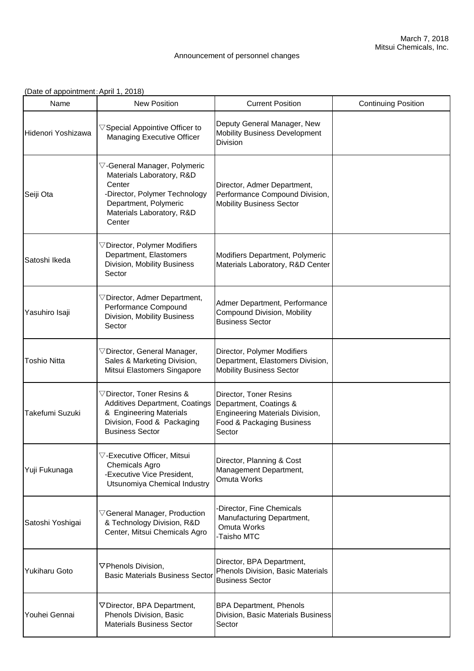## Announcement of personnel changes

|  |  | (Date of appointment: April 1, 2018) |  |  |
|--|--|--------------------------------------|--|--|
|  |  |                                      |  |  |

| Name                 | <b>New Position</b>                                                                                                                                                                 | <b>Current Position</b>                                                                                                           | <b>Continuing Position</b> |
|----------------------|-------------------------------------------------------------------------------------------------------------------------------------------------------------------------------------|-----------------------------------------------------------------------------------------------------------------------------------|----------------------------|
| Hidenori Yoshizawa   | $\triangledown$ Special Appointive Officer to<br>Managing Executive Officer                                                                                                         | Deputy General Manager, New<br><b>Mobility Business Development</b><br>Division                                                   |                            |
| Seiji Ota            | $\triangledown$ -General Manager, Polymeric<br>Materials Laboratory, R&D<br>Center<br>-Director, Polymer Technology<br>Department, Polymeric<br>Materials Laboratory, R&D<br>Center | Director, Admer Department,<br>Performance Compound Division,<br><b>Mobility Business Sector</b>                                  |                            |
| Satoshi Ikeda        | $\triangledown$ Director, Polymer Modifiers<br>Department, Elastomers<br>Division, Mobility Business<br>Sector                                                                      | Modifiers Department, Polymeric<br>Materials Laboratory, R&D Center                                                               |                            |
| Yasuhiro Isaji       | $\nabla$ Director, Admer Department,<br>Performance Compound<br>Division, Mobility Business<br>Sector                                                                               | Admer Department, Performance<br><b>Compound Division, Mobility</b><br><b>Business Sector</b>                                     |                            |
| <b>Toshio Nitta</b>  | $\triangledown$ Director, General Manager,<br>Sales & Marketing Division,<br>Mitsui Elastomers Singapore                                                                            | Director, Polymer Modifiers<br>Department, Elastomers Division,<br><b>Mobility Business Sector</b>                                |                            |
| Takefumi Suzuki      | $\triangledown$ Director, Toner Resins &<br>Additives Department, Coatings<br>& Engineering Materials<br>Division, Food & Packaging<br><b>Business Sector</b>                       | Director, Toner Resins<br>Department, Coatings &<br><b>Engineering Materials Division,</b><br>Food & Packaging Business<br>Sector |                            |
| Yuji Fukunaga        | $\triangledown$ -Executive Officer, Mitsui<br><b>Chemicals Agro</b><br>-Executive Vice President,<br>Utsunomiya Chemical Industry                                                   | Director, Planning & Cost<br>Management Department,<br>Omuta Works                                                                |                            |
| Satoshi Yoshigai     | $\triangledown$ General Manager, Production<br>& Technology Division, R&D<br>Center, Mitsui Chemicals Agro                                                                          | -Director, Fine Chemicals<br>Manufacturing Department,<br>Omuta Works<br>-Taisho MTC                                              |                            |
| <b>Yukiharu Goto</b> | ▽Phenols Division,<br><b>Basic Materials Business Sector</b>                                                                                                                        | Director, BPA Department,<br>Phenols Division, Basic Materials<br><b>Business Sector</b>                                          |                            |
| Youhei Gennai        | ▽Director, BPA Department,<br>Phenols Division, Basic<br><b>Materials Business Sector</b>                                                                                           | <b>BPA Department, Phenols</b><br>Division, Basic Materials Business<br>Sector                                                    |                            |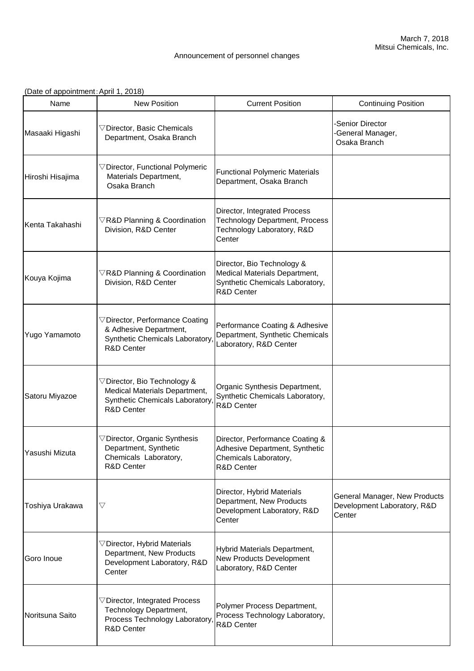## Announcement of personnel changes

(Date of appointment:April 1, 2018)

| Name             | <b>New Position</b>                                                                                                             | <b>Current Position</b>                                                                                       | <b>Continuing Position</b>                                             |
|------------------|---------------------------------------------------------------------------------------------------------------------------------|---------------------------------------------------------------------------------------------------------------|------------------------------------------------------------------------|
| Masaaki Higashi  | $\nabla$ Director, Basic Chemicals<br>Department, Osaka Branch                                                                  |                                                                                                               | Senior Director<br>-General Manager,<br>Osaka Branch                   |
| Hiroshi Hisajima | $\triangledown$ Director, Functional Polymeric<br>Materials Department,<br>Osaka Branch                                         | <b>Functional Polymeric Materials</b><br>Department, Osaka Branch                                             |                                                                        |
| Kenta Takahashi  | $\nabla$ R&D Planning & Coordination<br>Division, R&D Center                                                                    | Director, Integrated Process<br><b>Technology Department, Process</b><br>Technology Laboratory, R&D<br>Center |                                                                        |
| Kouya Kojima     | $\nabla$ R&D Planning & Coordination<br>Division, R&D Center                                                                    | Director, Bio Technology &<br>Medical Materials Department,<br>Synthetic Chemicals Laboratory,<br>R&D Center  |                                                                        |
| Yugo Yamamoto    | $\triangledown$ Director, Performance Coating<br>& Adhesive Department,<br><b>Synthetic Chemicals Laboratory</b><br>R&D Center  | Performance Coating & Adhesive<br>Department, Synthetic Chemicals<br>Laboratory, R&D Center                   |                                                                        |
| Satoru Miyazoe   | $\nabla$ Director, Bio Technology &<br>Medical Materials Department,<br>Synthetic Chemicals Laboratory<br><b>R&amp;D Center</b> | Organic Synthesis Department,<br>Synthetic Chemicals Laboratory,<br><b>R&amp;D Center</b>                     |                                                                        |
| Yasushi Mizuta   | $\triangledown$ Director, Organic Synthesis<br>Department, Synthetic<br>Chemicals Laboratory,<br><b>R&amp;D Center</b>          | Director, Performance Coating &<br>Adhesive Department, Synthetic<br>Chemicals Laboratory,<br>R&D Center      |                                                                        |
| Toshiya Urakawa  | $\bigtriangledown$                                                                                                              | Director, Hybrid Materials<br>Department, New Products<br>Development Laboratory, R&D<br>Center               | General Manager, New Products<br>Development Laboratory, R&D<br>Center |
| Goro Inoue       | $\triangledown$ Director, Hybrid Materials<br>Department, New Products<br>Development Laboratory, R&D<br>Center                 | Hybrid Materials Department,<br>New Products Development<br>Laboratory, R&D Center                            |                                                                        |
| Noritsuna Saito  | $\nabla$ Director, Integrated Process<br>Technology Department,<br>Process Technology Laboratory<br>R&D Center                  | Polymer Process Department,<br>Process Technology Laboratory,<br><b>R&amp;D Center</b>                        |                                                                        |